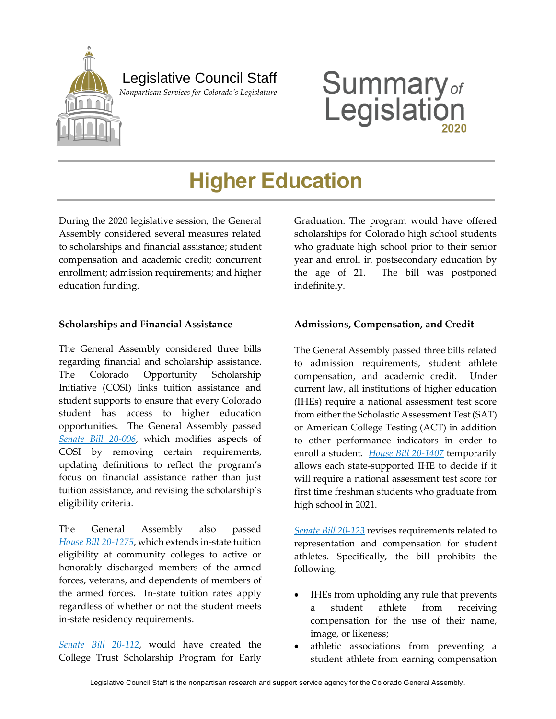

**Summary**<sub>of</sub><br>Legislation

# **Higher Education**

During the 2020 legislative session, the General Assembly considered several measures related to scholarships and financial assistance; student compensation and academic credit; concurrent enrollment; admission requirements; and higher education funding.

## **Scholarships and Financial Assistance**

The General Assembly considered three bills regarding financial and scholarship assistance. The Colorado Opportunity Scholarship Initiative (COSI) links tuition assistance and student supports to ensure that every Colorado student has access to higher education opportunities. The General Assembly passed *[Senate Bill 20-006](https://leg.colorado.gov/bills/sb20-006)*, which modifies aspects of COSI by removing certain requirements, updating definitions to reflect the program's focus on financial assistance rather than just tuition assistance, and revising the scholarship's eligibility criteria.

The General Assembly also passed *House Bill [20-1275](https://leg.colorado.gov/bills/hb20-1275)*, which extends in-state tuition eligibility at community colleges to active or honorably discharged members of the armed forces, veterans, and dependents of members of the armed forces. In-state tuition rates apply regardless of whether or not the student meets in-state residency requirements.

*[Senate Bill 20-112](https://leg.colorado.gov/bills/sb20-112)*, would have created the College Trust Scholarship Program for Early Graduation. The program would have offered scholarships for Colorado high school students who graduate high school prior to their senior year and enroll in postsecondary education by the age of 21. The bill was postponed indefinitely.

## **Admissions, Compensation, and Credit**

The General Assembly passed three bills related to admission requirements, student athlete compensation, and academic credit. Under current law, all institutions of higher education (IHEs) require a national assessment test score from either the Scholastic Assessment Test (SAT) or American College Testing (ACT) in addition to other performance indicators in order to enroll a student*. [House Bill 20-1407](https://leg.colorado.gov/bills/hb20-1407)* temporarily allows each state-supported IHE to decide if it will require a national assessment test score for first time freshman students who graduate from high school in 2021.

*[Senate Bill 20-123](https://leg.colorado.gov/bills/sb20-123)* revises requirements related to representation and compensation for student athletes. Specifically, the bill prohibits the following:

- IHEs from upholding any rule that prevents a student athlete from receiving compensation for the use of their name, image, or likeness;
- athletic associations from preventing a student athlete from earning compensation